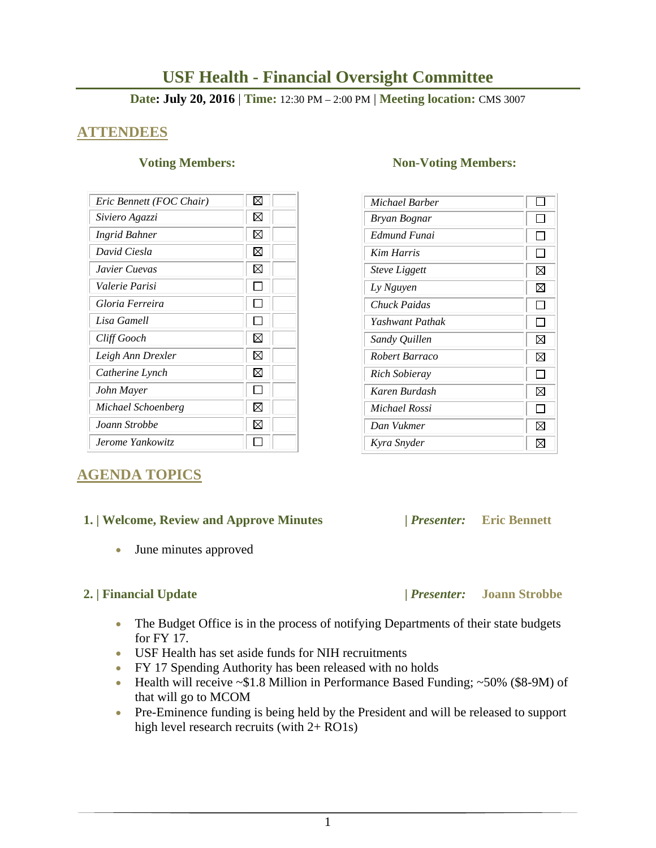# **USF Health - Financial Oversight Committee**

### **Date: July 20, 2016** | **Time:** 12:30 PM – 2:00 PM | **Meeting location:** CMS 3007

# **ATTENDEES**

| Eric Bennett (FOC Chair) | ⊠           |
|--------------------------|-------------|
| Siviero Agazzi           | ⊠           |
| Ingrid Bahner            | $\boxtimes$ |
| David Ciesla             | $\boxtimes$ |
| Javier Cuevas            | M           |
| Valerie Parisi           |             |
| Gloria Ferreira          |             |
| Lisa Gamell              |             |
| Cliff Gooch              | X           |
| Leigh Ann Drexler        | ⊠           |
| Catherine Lynch          | ⊠           |
| John Mayer               |             |
| Michael Schoenberg       | ⊠           |
| Joann Strobbe            | M           |
| Jerome Yankowitz         |             |

# **AGENDA TOPICS**

## **1. | Welcome, Review and Approve Minutes****|** *Presenter:* **Eric Bennett**

June minutes approved

### **2. | Financial Update |** *Presenter:* **Joann Strobbe**

- The Budget Office is in the process of notifying Departments of their state budgets for FY 17.
- USF Health has set aside funds for NIH recruitments
- FY 17 Spending Authority has been released with no holds
- Health will receive  $\sim$ \$1.8 Million in Performance Based Funding;  $\sim$ 50% (\$8-9M) of that will go to MCOM
- Pre-Eminence funding is being held by the President and will be released to support high level research recruits (with 2+ RO1s)

### **Voting Members:** Non-Voting Members:

| Michael Barber       |              |
|----------------------|--------------|
| Bryan Bognar         |              |
| Edmund Funai         |              |
| Kim Harris           |              |
| <b>Steve Liggett</b> | ⊠            |
| Ly Nguyen            | ⊠            |
| Chuck Paidas         |              |
| Yashwant Pathak      | ΙI           |
| Sandy Quillen        | ⊠            |
| Robert Barraco       | ⊠            |
| Rich Sobieray        | $\mathbf{I}$ |
| Karen Burdash        | ⊠            |
| Michael Rossi        |              |
| Dan Vukmer           | ⊠            |
| Kyra Snyder          | IХ           |

1